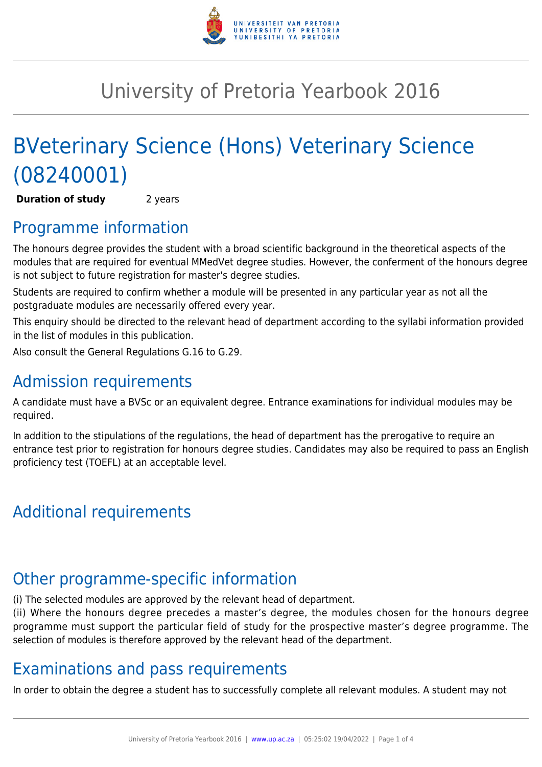

## University of Pretoria Yearbook 2016

# BVeterinary Science (Hons) Veterinary Science (08240001)

**Duration of study** 2 years

### Programme information

The honours degree provides the student with a broad scientific background in the theoretical aspects of the modules that are required for eventual MMedVet degree studies. However, the conferment of the honours degree is not subject to future registration for master's degree studies.

Students are required to confirm whether a module will be presented in any particular year as not all the postgraduate modules are necessarily offered every year.

This enquiry should be directed to the relevant head of department according to the syllabi information provided in the list of modules in this publication.

Also consult the General Regulations G.16 to G.29.

## Admission requirements

A candidate must have a BVSc or an equivalent degree. Entrance examinations for individual modules may be required.

In addition to the stipulations of the regulations, the head of department has the prerogative to require an entrance test prior to registration for honours degree studies. Candidates may also be required to pass an English proficiency test (TOEFL) at an acceptable level.

## Additional requirements

## Other programme-specific information

(i) The selected modules are approved by the relevant head of department.

(ii) Where the honours degree precedes a master's degree, the modules chosen for the honours degree programme must support the particular field of study for the prospective master's degree programme. The selection of modules is therefore approved by the relevant head of the department.

## Examinations and pass requirements

In order to obtain the degree a student has to successfully complete all relevant modules. A student may not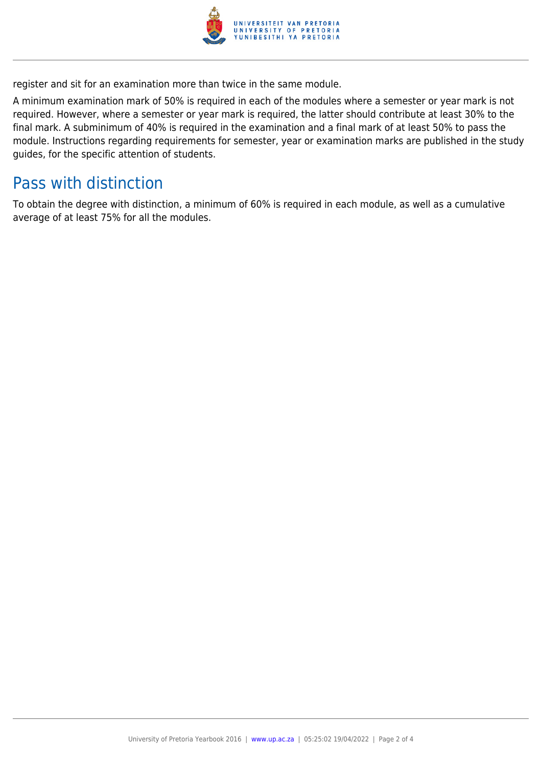

register and sit for an examination more than twice in the same module.

A minimum examination mark of 50% is required in each of the modules where a semester or year mark is not required. However, where a semester or year mark is required, the latter should contribute at least 30% to the final mark. A subminimum of 40% is required in the examination and a final mark of at least 50% to pass the module. Instructions regarding requirements for semester, year or examination marks are published in the study guides, for the specific attention of students.

#### Pass with distinction

To obtain the degree with distinction, a minimum of 60% is required in each module, as well as a cumulative average of at least 75% for all the modules.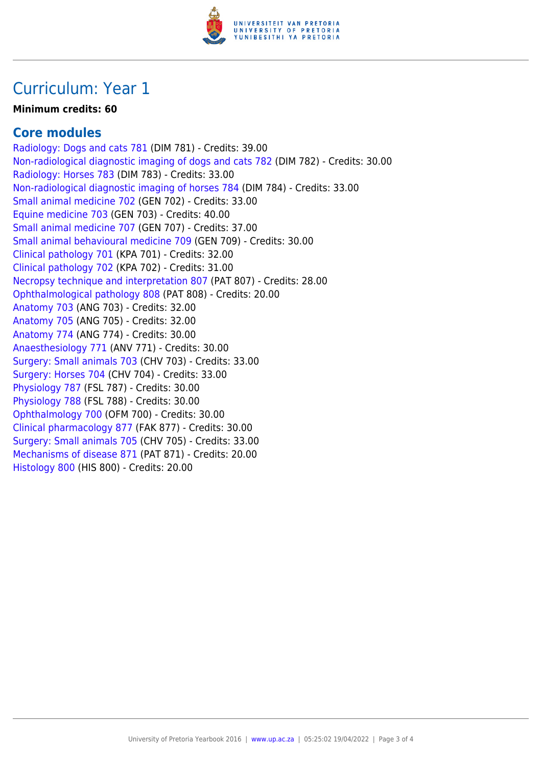

#### Curriculum: Year 1

#### **Minimum credits: 60**

#### **Core modules**

[Radiology: Dogs and cats 781](https://www.up.ac.za/faculty-of-education/yearbooks/2016/modules/view/DIM 781) (DIM 781) - Credits: 39.00 [Non-radiological diagnostic imaging of dogs and cats 782](https://www.up.ac.za/faculty-of-education/yearbooks/2016/modules/view/DIM 782) (DIM 782) - Credits: 30.00 [Radiology: Horses 783](https://www.up.ac.za/faculty-of-education/yearbooks/2016/modules/view/DIM 783) (DIM 783) - Credits: 33.00 [Non-radiological diagnostic imaging of horses 784](https://www.up.ac.za/faculty-of-education/yearbooks/2016/modules/view/DIM 784) (DIM 784) - Credits: 33.00 [Small animal medicine 702](https://www.up.ac.za/faculty-of-education/yearbooks/2016/modules/view/GEN 702) (GEN 702) - Credits: 33.00 [Equine medicine 703](https://www.up.ac.za/faculty-of-education/yearbooks/2016/modules/view/GEN 703) (GEN 703) - Credits: 40.00 [Small animal medicine 707](https://www.up.ac.za/faculty-of-education/yearbooks/2016/modules/view/GEN 707) (GEN 707) - Credits: 37.00 [Small animal behavioural medicine 709](https://www.up.ac.za/faculty-of-education/yearbooks/2016/modules/view/GEN 709) (GEN 709) - Credits: 30.00 [Clinical pathology 701](https://www.up.ac.za/faculty-of-education/yearbooks/2016/modules/view/KPA 701) (KPA 701) - Credits: 32.00 [Clinical pathology 702](https://www.up.ac.za/faculty-of-education/yearbooks/2016/modules/view/KPA 702) (KPA 702) - Credits: 31.00 [Necropsy technique and interpretation 807](https://www.up.ac.za/faculty-of-education/yearbooks/2016/modules/view/PAT 807) (PAT 807) - Credits: 28.00 [Ophthalmological pathology 808](https://www.up.ac.za/faculty-of-education/yearbooks/2016/modules/view/PAT 808) (PAT 808) - Credits: 20.00 [Anatomy 703](https://www.up.ac.za/faculty-of-education/yearbooks/2016/modules/view/ANG 703) (ANG 703) - Credits: 32.00 [Anatomy 705](https://www.up.ac.za/faculty-of-education/yearbooks/2016/modules/view/ANG 705) (ANG 705) - Credits: 32.00 [Anatomy 774](https://www.up.ac.za/faculty-of-education/yearbooks/2016/modules/view/ANG 774) (ANG 774) - Credits: 30.00 [Anaesthesiology 771](https://www.up.ac.za/faculty-of-education/yearbooks/2016/modules/view/ANV 771) (ANV 771) - Credits: 30.00 [Surgery: Small animals 703](https://www.up.ac.za/faculty-of-education/yearbooks/2016/modules/view/CHV 703) (CHV 703) - Credits: 33.00 [Surgery: Horses 704](https://www.up.ac.za/faculty-of-education/yearbooks/2016/modules/view/CHV 704) (CHV 704) - Credits: 33.00 [Physiology 787](https://www.up.ac.za/faculty-of-education/yearbooks/2016/modules/view/FSL 787) (FSL 787) - Credits: 30.00 [Physiology 788](https://www.up.ac.za/faculty-of-education/yearbooks/2016/modules/view/FSL 788) (FSL 788) - Credits: 30.00 [Ophthalmology 700](https://www.up.ac.za/faculty-of-education/yearbooks/2016/modules/view/OFM 700) (OFM 700) - Credits: 30.00 [Clinical pharmacology 877](https://www.up.ac.za/faculty-of-education/yearbooks/2016/modules/view/FAK 877) (FAK 877) - Credits: 30.00 [Surgery: Small animals 705](https://www.up.ac.za/faculty-of-education/yearbooks/2016/modules/view/CHV 705) (CHV 705) - Credits: 33.00 [Mechanisms of disease 871](https://www.up.ac.za/faculty-of-education/yearbooks/2016/modules/view/PAT 871) (PAT 871) - Credits: 20.00 [Histology 800](https://www.up.ac.za/faculty-of-education/yearbooks/2016/modules/view/HIS 800) (HIS 800) - Credits: 20.00